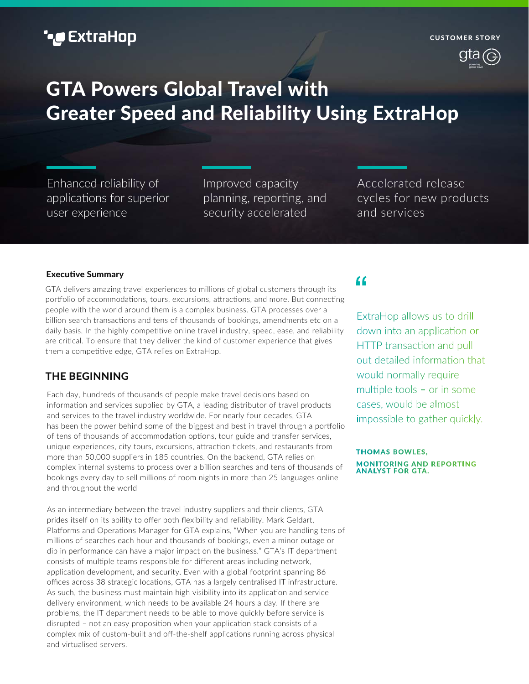## **\*@** ExtraHop

# **GTA Powers Global Travel with Greater Speed and Reliability Using ExtraHop**

Enhanced reliability of applications for superior user experience

Improved capacity planning, reporting, and security accelerated

Accelerated release cycles for new products and services

#### **Executive Summary**

GTA delivers amazing travel experiences to millions of global customers through its portfolio of accommodations, tours, excursions, attractions, and more. But connecting people with the world around them is a complex business. GTA processes over a billion search transactions and tens of thousands of bookings, amendments etc on a daily basis. In the highly competitive online travel industry, speed, ease, and reliability are cri�cal. To ensure that they deliver the kind of customer experience that gives them a competitive edge, GTA relies on ExtraHop.

### **THE BEGINNING**

Each day, hundreds of thousands of people make travel decisions based on information and services supplied by GTA, a leading distributor of travel products and services to the travel industry worldwide. For nearly four decades, GTA has been the power behind some of the biggest and best in travel through a portfolio of tens of thousands of accommodation options, tour guide and transfer services, unique experiences, city tours, excursions, a�rac�on �ckets, and restaurants from more than 50,000 suppliers in 185 countries. On the backend, GTA relies on complex internal systems to process over a billion searches and tens of thousands of bookings every day to sell millions of room nights in more than 25 languages online and throughout the world

As an intermediary between the travel industry suppliers and their clients, GTA prides itself on its ability to offer both flexibility and reliability. Mark Geldart, Platforms and Operations Manager for GTA explains, "When you are handling tens of millions of searches each hour and thousands of bookings, even a minor outage or dip in performance can have a major impact on the business." GTA's IT department consists of multiple teams responsible for different areas including network, application development, and security. Even with a global footprint spanning 86 offices across 38 strategic locations, GTA has a largely centralised IT infrastructure. As such, the business must maintain high visibility into its application and service delivery environment, which needs to be available 24 hours a day. If there are problems, the IT department needs to be able to move quickly before service is disrupted – not an easy proposition when your application stack consists of a complex mix of custom-built and off-the-shelf applications running across physical and virtualised servers.

## "

ExtraHop allows us to drill down into an application or HTTP transaction and pull out detailed information that would normally require multiple tools - or in some cases, would be almost impossible to gather quickly.

**THOMAS BOWLES. MONITORING AND REPORTING ANALYST FOR GTA.**